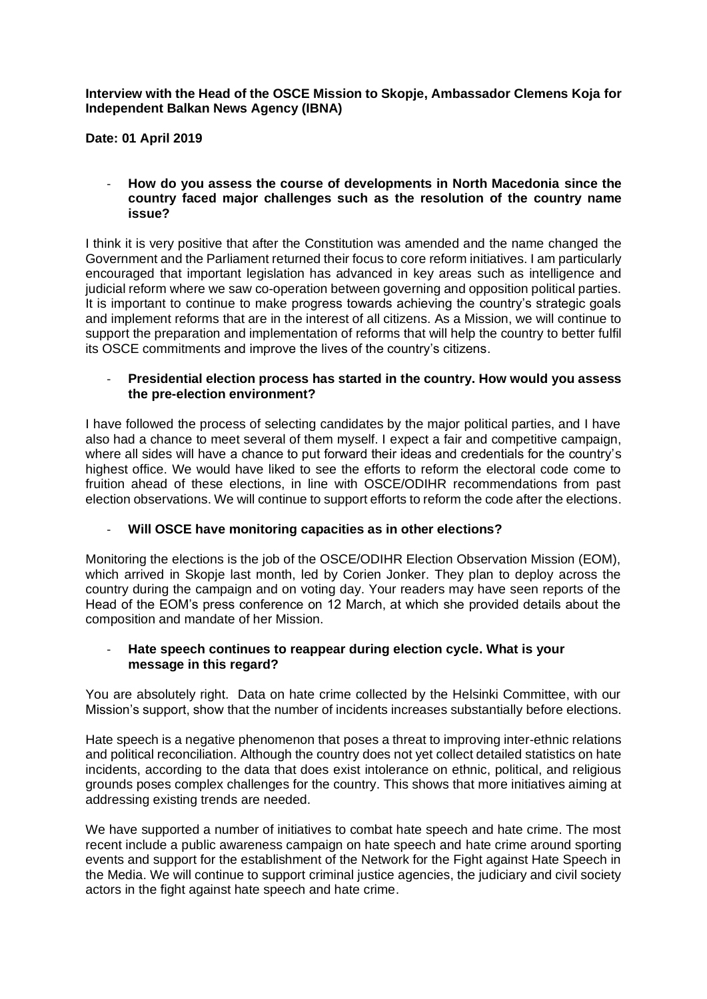**Interview with the Head of the OSCE Mission to Skopje, Ambassador Clemens Koja for Independent Balkan News Agency (IBNA)**

**Date: 01 April 2019**

- **How do you assess the course of developments in North Macedonia since the country faced major challenges such as the resolution of the country name issue?**

I think it is very positive that after the Constitution was amended and the name changed the Government and the Parliament returned their focus to core reform initiatives. I am particularly encouraged that important legislation has advanced in key areas such as intelligence and judicial reform where we saw co-operation between governing and opposition political parties. It is important to continue to make progress towards achieving the country's strategic goals and implement reforms that are in the interest of all citizens. As a Mission, we will continue to support the preparation and implementation of reforms that will help the country to better fulfil its OSCE commitments and improve the lives of the country's citizens.

## - **Presidential election process has started in the country. How would you assess the pre-election environment?**

I have followed the process of selecting candidates by the major political parties, and I have also had a chance to meet several of them myself. I expect a fair and competitive campaign, where all sides will have a chance to put forward their ideas and credentials for the country's highest office. We would have liked to see the efforts to reform the electoral code come to fruition ahead of these elections, in line with OSCE/ODIHR recommendations from past election observations. We will continue to support efforts to reform the code after the elections.

- **Will OSCE have monitoring capacities as in other elections?**

Monitoring the elections is the job of the OSCE/ODIHR Election Observation Mission (EOM), which arrived in Skopje last month, led by Corien Jonker. They plan to deploy across the country during the campaign and on voting day. Your readers may have seen reports of the Head of the EOM's press conference on 12 March, at which she provided details about the composition and mandate of her Mission.

## - **Hate speech continues to reappear during election cycle. What is your message in this regard?**

You are absolutely right. Data on hate crime collected by the Helsinki Committee, with our Mission's support, show that the number of incidents increases substantially before elections.

Hate speech is a negative phenomenon that poses a threat to improving inter-ethnic relations and political reconciliation. Although the country does not yet collect detailed statistics on hate incidents, according to the data that does exist intolerance on ethnic, political, and religious grounds poses complex challenges for the country. This shows that more initiatives aiming at addressing existing trends are needed.

We have supported a number of initiatives to combat hate speech and hate crime. The most recent include a public awareness campaign on hate speech and hate crime around sporting events and support for the establishment of the Network for the Fight against Hate Speech in the Media. We will continue to support criminal justice agencies, the judiciary and civil society actors in the fight against hate speech and hate crime.